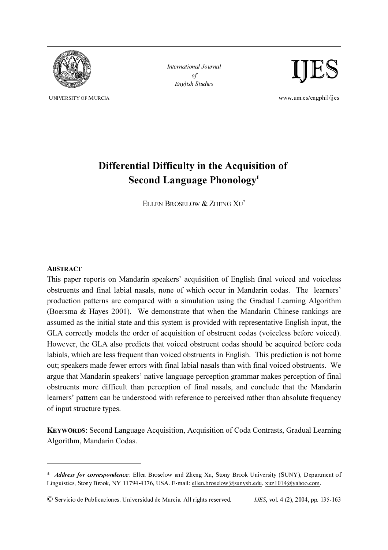

International Journal of English Studies



# Differential Difficulty in the Acquisition of Second Language Phonology<sup>1</sup>

ELLEN BROSELOW & ZHENG XU<sup>\*</sup>

## **ABSTRACT**

This paper reports on Mandarin speakers' acquisition of English final voiced and voiceless obstruents and final labial nasals, none of which occur in Mandarin codas. The learners' production patterns are compared with a simulation using the Gradual Learning Algorithm (Boersma & Hayes 2001). We demonstrate that when the Mandarin Chinese rankings are assumed as the initial state and this system is provided with representative English input, the GLA correctly models the order of acquisition of obstruent codas (voiceless before voiced). However, the GLA also predicts that voiced obstruent codas should be acquired before coda labials, which are less frequent than voiced obstruents in English. This prediction is not borne out; speakers made fewer errors with final labial nasals than with final voiced obstruents. We argue that Mandarin speakers' native language perception grammar makes perception of final obstruents more difficult than perception of final nasals, and conclude that the Mandarin learners' pattern can be understood with reference to perceived rather than absolute frequency of input structure types.

KEYWORDS: Second Language Acquisition, Acquisition of Coda Contrasts, Gradual Learning Algorithm, Mandarin Codas.

© Servicio de Publicaciones. Universidad de Murcia. All rights reserved. IJES, vol. 4 (2), 2004, pp. 135-163

<sup>\*</sup> Address for correspondence: Ellen Broselow and Zheng Xu, Stony Brook University (SUNY), Department of Linguistics, Stony Brook, NY 11794-4376, USA. E-mail: ellen.broselow@sunysb.edu, xuz1014@yahoo.com.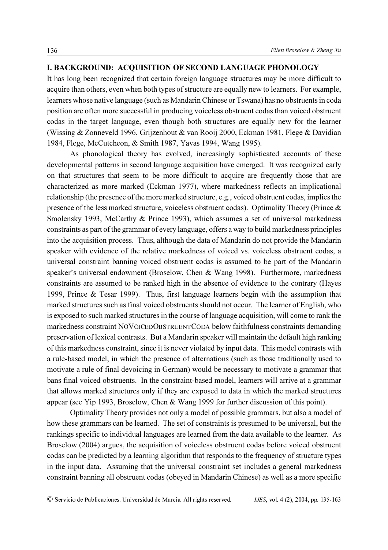## I. BACKGROUND: ACQUISITION OF SECOND LANGUAGE PHONOLOGY

It has long been recognized that certain foreign language structures may be more difficult to acquire than others, even when both types of structure are equally new to learners. For example, learners whose native language (such as Mandarin Chinese or Tswana) has no obstruents in coda position are often more successful in producing voiceless obstruent codas than voiced obstruent codas in the target language, even though both structures are equally new for the learner (Wissing & Zonneveld 1996, Grijzenhout & van Rooij 2000, Eckman 1981, Flege & Davidian 1984, Flege, McCutcheon, & Smith 1987, Yavas 1994, Wang 1995).

As phonological theory has evolved, increasingly sophisticated accounts of these developmental patterns in second language acquisition have emerged. It was recognized early on that structures that seem to be more difficult to acquire are frequently those that are characterized as more marked (Eckman 1977), where markedness reflects an implicational relationship (the presence of the more marked structure, e.g., voiced obstruent codas, implies the presence of the less marked structure, voiceless obstruent codas). Optimality Theory (Prince & Smolensky 1993, McCarthy & Prince 1993), which assumes a set of universal markedness constraints as part of the grammar of every language, offers a way to build markedness principles into the acquisition process. Thus, although the data of Mandarin do not provide the Mandarin speaker with evidence of the relative markedness of voiced vs. voiceless obstruent codas, a universal constraint banning voiced obstruent codas is assumed to be part of the Mandarin speaker's universal endowment (Broselow, Chen & Wang 1998). Furthermore, markedness constraints are assumed to be ranked high in the absence of evidence to the contrary (Hayes 1999, Prince & Tesar 1999). Thus, first language learners begin with the assumption that marked structures such as final voiced obstruents should not occur. The learner of English, who is exposed to such marked structures in the course of language acquisition, will come to rank the markedness constraint NOVOICEDOBSTRUENTCODA below faithfulness constraints demanding preservation of lexical contrasts. But a Mandarin speaker will maintain the default high ranking of this markedness constraint, since it is never violated by input data. This model contrasts with a rule-based model, in which the presence of alternations (such as those traditionally used to motivate a rule of final devoicing in German) would be necessary to motivate a grammar that bans final voiced obstruents. In the constraint-based model, learners will arrive at a grammar that allows marked structures only if they are exposed to data in which the marked structures appear (see Yip 1993, Broselow, Chen & Wang 1999 for further discussion of this point).

Optimality Theory provides not only a model of possible grammars, but also a model of how these grammars can be learned. The set of constraints is presumed to be universal, but the rankings specific to individual languages are learned from the data available to the learner. As Broselow (2004) argues, the acquisition of voiceless obstruent codas before voiced obstruent codas can be predicted by a learning algorithm that responds to the frequency of structure types in the input data. Assuming that the universal constraint set includes a general markedness constraint banning all obstruent codas (obeyed in Mandarin Chinese) as well as a more specific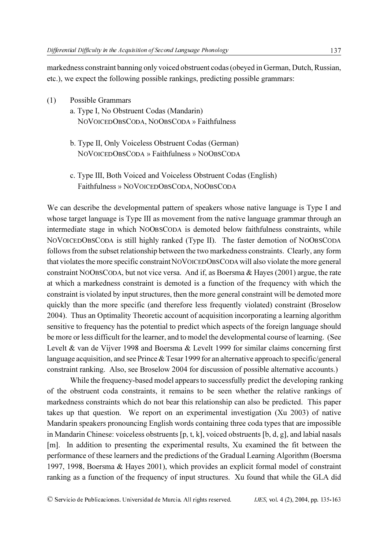markedness constraint banning only voiced obstruent codas (obeyed in German, Dutch, Russian, etc.), we expect the following possible rankings, predicting possible grammars:

- (1) Possible Grammars
	- a. Type I, No Obstruent Codas (Mandarin) NOVOICEDOBSCODA, NOOBSCODA » Faithfulness
	- b. Type II, Only Voiceless Obstruent Codas (German) NOVOICEDOBSCODA » Faithfulness » NOOBSCODA
	- c. Type III, Both Voiced and Voiceless Obstruent Codas (English) Faithfulness » NOVOICEDOBSCODA, NOOBSCODA

We can describe the developmental pattern of speakers whose native language is Type I and whose target language is Type III as movement from the native language grammar through an intermediate stage in which NOOBSCODA is demoted below faithfulness constraints, while NOVOICEDOBSCODA is still highly ranked (Type II). The faster demotion of NOOBSCODA follows from the subset relationship between the two markedness constraints. Clearly, any form that violates the more specific constraint NOVOICEDOBSCODA will also violate the more general constraint NOOBSCODA, but not vice versa. And if, as Boersma & Hayes (2001) argue, the rate at which a markedness constraint is demoted is a function of the frequency with which the constraint is violated by input structures, then the more general constraint will be demoted more quickly than the more specific (and therefore less frequently violated) constraint (Broselow 2004). Thus an Optimality Theoretic account of acquisition incorporating a learning algorithm sensitive to frequency has the potential to predict which aspects of the foreign language should be more or less difficult for the learner, and to model the developmental course of learning. (See Levelt & van de Vijver 1998 and Boersma & Levelt 1999 for similar claims concerning first language acquisition, and see Prince & Tesar 1999 for an alternative approach to specific/general constraint ranking. Also, see Broselow 2004 for discussion of possible alternative accounts.)

 While the frequency-based model appears to successfully predict the developing ranking of the obstruent coda constraints, it remains to be seen whether the relative rankings of markedness constraints which do not bear this relationship can also be predicted. This paper takes up that question. We report on an experimental investigation (Xu 2003) of native Mandarin speakers pronouncing English words containing three coda types that are impossible in Mandarin Chinese: voiceless obstruents [p, t, k], voiced obstruents [b, d, g], and labial nasals [m]. In addition to presenting the experimental results, Xu examined the fit between the performance of these learners and the predictions of the Gradual Learning Algorithm (Boersma 1997, 1998, Boersma & Hayes 2001), which provides an explicit formal model of constraint ranking as a function of the frequency of input structures. Xu found that while the GLA did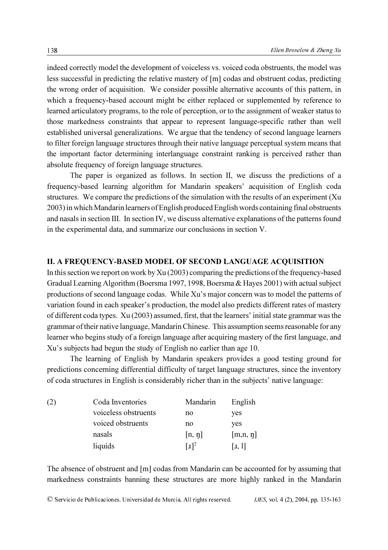indeed correctly model the development of voiceless vs. voiced coda obstruents, the model was less successful in predicting the relative mastery of [m] codas and obstruent codas, predicting the wrong order of acquisition. We consider possible alternative accounts of this pattern, in which a frequency-based account might be either replaced or supplemented by reference to learned articulatory programs, to the role of perception, or to the assignment of weaker status to those markedness constraints that appear to represent language-specific rather than well established universal generalizations. We argue that the tendency of second language learners to filter foreign language structures through their native language perceptual system means that the important factor determining interlanguage constraint ranking is perceived rather than absolute frequency of foreign language structures.

The paper is organized as follows. In section II, we discuss the predictions of a frequency-based learning algorithm for Mandarin speakers' acquisition of English coda structures. We compare the predictions of the simulation with the results of an experiment (Xu 2003) in which Mandarin learners of English produced English words containing final obstruents and nasals in section III. In section IV, we discuss alternative explanations of the patterns found in the experimental data, and summarize our conclusions in section V.

#### II. A FREQUENCY-BASED MODEL OF SECOND LANGUAGE ACQUISITION

In this section we report on work by Xu (2003) comparing the predictions of the frequency-based Gradual Learning Algorithm (Boersma 1997, 1998, Boersma & Hayes 2001) with actual subject productions of second language codas. While Xu's major concern was to model the patterns of variation found in each speaker's production, the model also predicts different rates of mastery of different coda types. Xu (2003) assumed, first, that the learners' initial state grammar was the grammar of their native language, Mandarin Chinese. This assumption seems reasonable for any learner who begins study of a foreign language after acquiring mastery of the first language, and Xu's subjects had begun the study of English no earlier than age 10.

The learning of English by Mandarin speakers provides a good testing ground for predictions concerning differential difficulty of target language structures, since the inventory of coda structures in English is considerably richer than in the subjects' native language:

| (2) | Coda Inventories     | Mandarin            | English       |
|-----|----------------------|---------------------|---------------|
|     | voiceless obstruents | no                  | yes           |
|     | voiced obstruents    | no                  | yes           |
|     | nasals               | $[n, \eta]$         | $[m,n, \eta]$ |
|     | liquids              | $\lceil a \rceil^2$ | [I, 1]        |

The absence of obstruent and [m] codas from Mandarin can be accounted for by assuming that markedness constraints banning these structures are more highly ranked in the Mandarin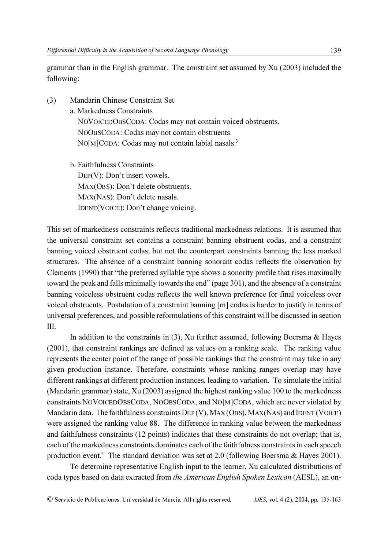grammar than in the English grammar. The constraint set assumed by Xu (2003) included the following:

- (3) Mandarin Chinese Constraint Set a. Markedness Constraints NOVOICEDOBSCODA: Codas may not contain voiced obstruents. NOOBSCODA: Codas may not contain obstruents. NO[M]CODA: Codas may not contain labial nasals.<sup>3</sup>
	- b. Faithfulness Constraints DEP(V): Don't insert vowels. MAX(OBS): Don't delete obstruents. MAX(NAS): Don't delete nasals. IDENT(VOICE): Don't change voicing.

This set of markedness constraints reflects traditional markedness relations. It is assumed that the universal constraint set contains a constraint banning obstruent codas, and a constraint banning voiced obstruent codas, but not the counterpart constraints banning the less marked structures. The absence of a constraint banning sonorant codas reflects the observation by Clements (1990) that "the preferred syllable type shows a sonority profile that rises maximally toward the peak and falls minimally towards the end" (page 301), and the absence of a constraint banning voiceless obstruent codas reflects the well known preference for final voiceless over voiced obstruents. Postulation of a constraint banning [m] codas is harder to justify in terms of universal preferences, and possible reformulations of this constraint will be discussed in section III.

In addition to the constraints in  $(3)$ , Xu further assumed, following Boersma & Hayes (2001), that constraint rankings are defined as values on a ranking scale. The ranking value represents the center point of the range of possible rankings that the constraint may take in any given production instance. Therefore, constraints whose ranking ranges overlap may have different rankings at different production instances, leading to variation. To simulate the initial (Mandarin grammar) state, Xu (2003) assigned the highest ranking value 100 to the markedness constraints NOVOICEDOBSCODA, NOOBSCODA, and NO[M]CODA, which are never violated by Mandarin data. The faithfulness constraints DEP (V), MAX (OBS), MAX (NAS) and IDENT (VOICE) were assigned the ranking value 88. The difference in ranking value between the markedness and faithfulness constraints (12 points) indicates that these constraints do not overlap; that is, each of the markedness constraints dominates each of the faithfulness constraints in each speech production event.<sup>4</sup> The standard deviation was set at 2.0 (following Boersma & Hayes 2001).

To determine representative English input to the learner, Xu calculated distributions of coda types based on data extracted from the American English Spoken Lexicon (AESL), an on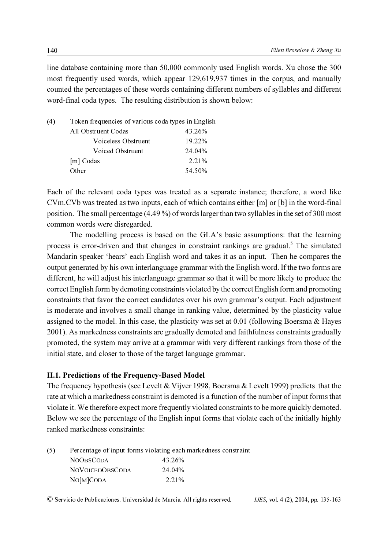line database containing more than 50,000 commonly used English words. Xu chose the 300 most frequently used words, which appear 129,619,937 times in the corpus, and manually counted the percentages of these words containing different numbers of syllables and different word-final coda types. The resulting distribution is shown below:

| (4) | Token frequencies of various coda types in English |        |
|-----|----------------------------------------------------|--------|
|     | All Obstruent Codas                                | 43.26% |
|     | Voiceless Obstruent                                | 19.22% |
|     | Voiced Obstruent                                   | 24.04% |
|     | [m] Codas                                          | 2.21%  |
|     | Other                                              | 54.50% |
|     |                                                    |        |

Each of the relevant coda types was treated as a separate instance; therefore, a word like CVm.CVb was treated as two inputs, each of which contains either [m] or [b] in the word-final position. The small percentage (4.49 %) of words larger than two syllables in the set of 300 most common words were disregarded.

The modelling process is based on the GLA's basic assumptions: that the learning process is error-driven and that changes in constraint rankings are gradual.<sup>5</sup> The simulated Mandarin speaker 'hears' each English word and takes it as an input. Then he compares the output generated by his own interlanguage grammar with the English word. If the two forms are different, he will adjust his interlanguage grammar so that it will be more likely to produce the correct English form by demoting constraints violated by the correct English form and promoting constraints that favor the correct candidates over his own grammar's output. Each adjustment is moderate and involves a small change in ranking value, determined by the plasticity value assigned to the model. In this case, the plasticity was set at  $0.01$  (following Boersma  $\&$  Hayes 2001). As markedness constraints are gradually demoted and faithfulness constraints gradually promoted, the system may arrive at a grammar with very different rankings from those of the initial state, and closer to those of the target language grammar.

## II.1. Predictions of the Frequency-Based Model

The frequency hypothesis (see Levelt & Vijver 1998, Boersma & Levelt 1999) predicts that the rate at which a markedness constraint is demoted is a function of the number of input forms that violate it. We therefore expect more frequently violated constraints to be more quickly demoted. Below we see the percentage of the English input forms that violate each of the initially highly ranked markedness constraints:

| (5) |  |  | Percentage of input forms violating each markedness constraint |  |
|-----|--|--|----------------------------------------------------------------|--|
|     |  |  |                                                                |  |
|     |  |  |                                                                |  |

| <b>NOOBSCODA</b>       | 43.26% |
|------------------------|--------|
| <b>NOVOICEDOBSCODA</b> | 24.04% |
| $NO[M]$ CODA           | 2.21%  |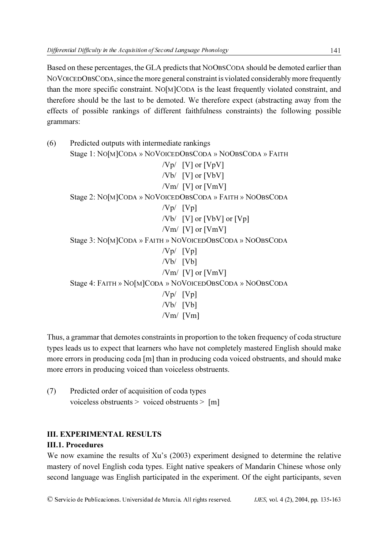Based on these percentages, the GLA predicts that NOOBSCODA should be demoted earlier than NOVOICEDOBSCODA, since the more general constraint is violated considerably more frequently than the more specific constraint. NO[M]CODA is the least frequently violated constraint, and therefore should be the last to be demoted. We therefore expect (abstracting away from the effects of possible rankings of different faithfulness constraints) the following possible grammars:

(6) Predicted outputs with intermediate rankings Stage 1: NO[M]CODA » NOVOICEDOBSCODA » NOOBSCODA » FAITH /Vp/ [V] or [VpV] /Vb/ [V] or [VbV] /Vm/  $[V]$  or  $[Vm]$ Stage 2: NO[M]CODA » NOVOICEDOBSCODA » FAITH » NOOBSCODA  $/Vp/$   $[Vp]$  $/Vb/$  [V] or [VbV] or [Vp]  $/Vm/$  [V] or [VmV] Stage 3: NO[M]CODA » FAITH » NOVOICEDOBSCODA » NOOBSCODA  $/Vp/$   $[Vp]$  $/Vb/$   $[Vb]$  $/Vm/$  [V] or [VmV] Stage 4: FAITH » NO[M]CODA » NOVOICEDOBSCODA » NOOBSCODA  $/Vp/$   $[Vp]$  $/Vb/$   $[Vb]$  $/Vm/$  [Vm]

Thus, a grammar that demotes constraints in proportion to the token frequency of coda structure types leads us to expect that learners who have not completely mastered English should make more errors in producing coda [m] than in producing coda voiced obstruents, and should make more errors in producing voiced than voiceless obstruents.

(7) Predicted order of acquisition of coda types voiceless obstruents > voiced obstruents > [m]

# III. EXPERIMENTAL RESULTS

# III.1. Procedures

We now examine the results of Xu's (2003) experiment designed to determine the relative mastery of novel English coda types. Eight native speakers of Mandarin Chinese whose only second language was English participated in the experiment. Of the eight participants, seven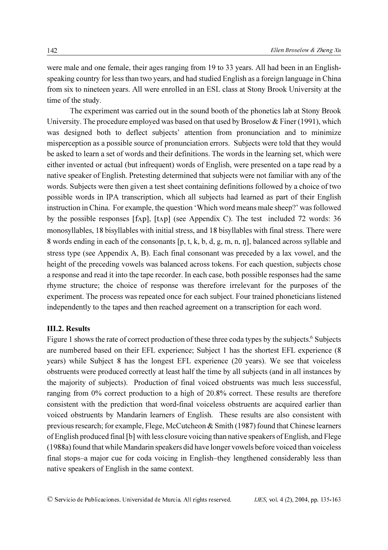were male and one female, their ages ranging from 19 to 33 years. All had been in an Englishspeaking country for less than two years, and had studied English as a foreign language in China from six to nineteen years. All were enrolled in an ESL class at Stony Brook University at the time of the study.

The experiment was carried out in the sound booth of the phonetics lab at Stony Brook University. The procedure employed was based on that used by Broselow  $&$  Finer (1991), which was designed both to deflect subjects' attention from pronunciation and to minimize misperception as a possible source of pronunciation errors. Subjects were told that they would be asked to learn a set of words and their definitions. The words in the learning set, which were either invented or actual (but infrequent) words of English, were presented on a tape read by a native speaker of English. Pretesting determined that subjects were not familiar with any of the words. Subjects were then given a test sheet containing definitions followed by a choice of two possible words in IPA transcription, which all subjects had learned as part of their English instruction in China. For example, the question 'Which word means male sheep?' was followed by the possible responses  $[f \Delta p]$ ,  $[t \Delta p]$  (see Appendix C). The test included 72 words: 36 monosyllables, 18 bisyllables with initial stress, and 18 bisyllables with final stress. There were 8 words ending in each of the consonants [p, t, k, b, d, g, m, n, n], balanced across syllable and stress type (see Appendix A, B). Each final consonant was preceded by a lax vowel, and the height of the preceding vowels was balanced across tokens. For each question, subjects chose a response and read it into the tape recorder. In each case, both possible responses had the same rhyme structure; the choice of response was therefore irrelevant for the purposes of the experiment. The process was repeated once for each subject. Four trained phoneticians listened independently to the tapes and then reached agreement on a transcription for each word.

#### III.2. Results

Figure 1 shows the rate of correct production of these three coda types by the subjects.<sup>6</sup> Subjects are numbered based on their EFL experience; Subject 1 has the shortest EFL experience (8 years) while Subject 8 has the longest EFL experience (20 years). We see that voiceless obstruents were produced correctly at least half the time by all subjects (and in all instances by the majority of subjects). Production of final voiced obstruents was much less successful, ranging from 0% correct production to a high of 20.8% correct. These results are therefore consistent with the prediction that word-final voiceless obstruents are acquired earlier than voiced obstruents by Mandarin learners of English. These results are also consistent with previous research; for example, Flege, McCutcheon & Smith (1987) found that Chinese learners of English produced final [b] with less closure voicing than native speakers of English, and Flege (1988a) found that while Mandarin speakers did have longer vowels before voiced than voiceless final stops–a major cue for coda voicing in English–they lengthened considerably less than native speakers of English in the same context.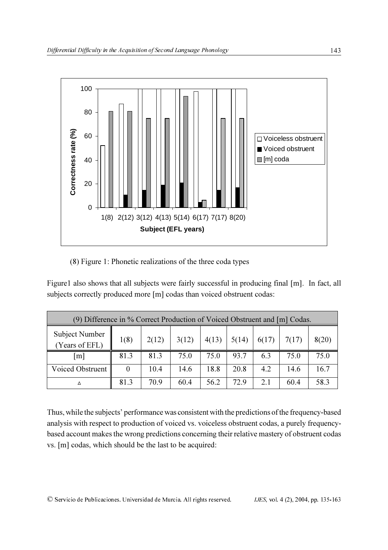

(8) Figure 1: Phonetic realizations of the three coda types

Figure1 also shows that all subjects were fairly successful in producing final [m]. In fact, all subjects correctly produced more [m] codas than voiced obstruent codas:

| (9) Difference in % Correct Production of Voiced Obstruent and [m] Codas. |          |       |       |       |       |       |       |       |
|---------------------------------------------------------------------------|----------|-------|-------|-------|-------|-------|-------|-------|
| <b>Subject Number</b><br>(Years of EFL)                                   | 1(8)     | 2(12) | 3(12) | 4(13) | 5(14) | 6(17) | 7(17) | 8(20) |
| $\lceil m \rceil$                                                         | 81.3     | 81.3  | 75.0  | 75.0  | 93.7  | 6.3   | 75.0  | 75.0  |
| Voiced Obstruent                                                          | $\theta$ | 10.4  | 14.6  | 18.8  | 20.8  | 4.2   | 14.6  | 16.7  |
| Δ                                                                         | 81.3     | 70.9  | 60.4  | 56.2  | 72.9  | 2.1   | 60.4  | 58.3  |

Thus, while the subjects' performance was consistent with the predictions of the frequency-based analysis with respect to production of voiced vs. voiceless obstruent codas, a purely frequencybased account makes the wrong predictions concerning their relative mastery of obstruent codas vs. [m] codas, which should be the last to be acquired: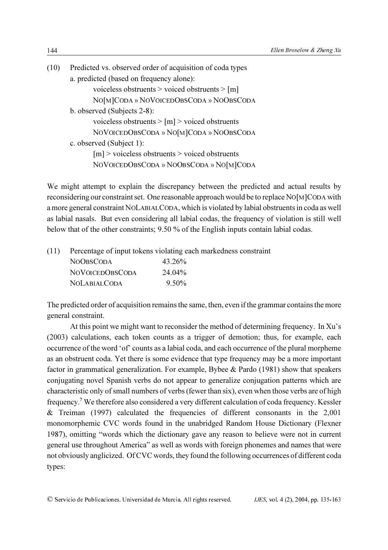| (10) | Predicted vs. observed order of acquisition of coda types |
|------|-----------------------------------------------------------|
|      | a. predicted (based on frequency alone):                  |
|      | voiceless obstruents $>$ voiced obstruents $>$ [m]        |
|      | NO[M]CODA » NOVOICEDOBSCODA » NOOBSCODA                   |
|      | b. observed (Subjects 2-8):                               |
|      | voiceless obstruents $>$ [m] $>$ voiced obstruents        |
|      | NOVOICEDOBSCODA » NO[M]CODA » NOOBSCODA                   |
|      | c. observed (Subject 1):                                  |
|      | $[m]$ > voiceless obstruents > voiced obstruents          |
|      | NOVOICEDOBSCODA » NOOBSCODA » NO[M]CODA                   |
|      |                                                           |

We might attempt to explain the discrepancy between the predicted and actual results by reconsidering our constraint set. One reasonable approach would be to replace NO[M]CODA with a more general constraint NOLABIALCODA, which is violated by labial obstruents in coda as well as labial nasals. But even considering all labial codas, the frequency of violation is still well below that of the other constraints; 9.50 % of the English inputs contain labial codas.

(11) Percentage of input tokens violating each markedness constraint

| <b>NOOBSCODA</b>       | 43.26%   |
|------------------------|----------|
| <b>NOVOICEDOBSCODA</b> | 24.04%   |
| NOLABIAL CODA          | $9.50\%$ |

The predicted order of acquisition remains the same, then, even if the grammar contains the more general constraint.

At this point we might want to reconsider the method of determining frequency. In Xu's (2003) calculations, each token counts as a trigger of demotion; thus, for example, each occurrence of the word 'of' counts as a labial coda, and each occurrence of the plural morpheme as an obstruent coda. Yet there is some evidence that type frequency may be a more important factor in grammatical generalization. For example, Bybee & Pardo (1981) show that speakers conjugating novel Spanish verbs do not appear to generalize conjugation patterns which are characteristic only of small numbers of verbs (fewer than six), even when those verbs are of high frequency.<sup>7</sup> We therefore also considered a very different calculation of coda frequency. Kessler & Treiman (1997) calculated the frequencies of different consonants in the 2,001 monomorphemic CVC words found in the unabridged Random House Dictionary (Flexner 1987), omitting "words which the dictionary gave any reason to believe were not in current general use throughout America" as well as words with foreign phonemes and names that were not obviously anglicized. Of CVC words, they found the following occurrences of different coda types: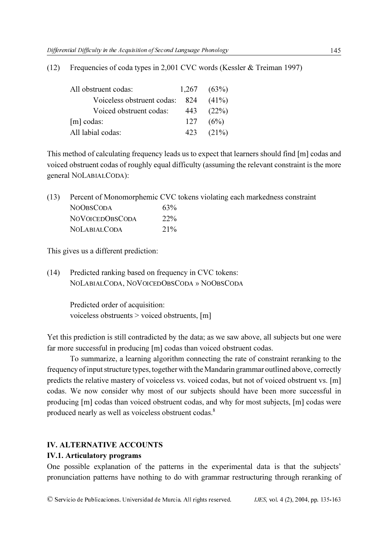| All obstruent codas:           |     | $1,267$ $(63\%)$ |
|--------------------------------|-----|------------------|
| Voiceless obstruent codas: 824 |     | $(41\%)$         |
| Voiced obstruent codas:        | 443 | (22%)            |
| $[m]$ codas:                   | 127 | (6%)             |
| All labial codas:              | 423 | $(21\%)$         |

(12) Frequencies of coda types in 2,001 CVC words (Kessler & Treiman 1997)

This method of calculating frequency leads us to expect that learners should find [m] codas and voiced obstruent codas of roughly equal difficulty (assuming the relevant constraint is the more general NOLABIALCODA):

(13) Percent of Monomorphemic CVC tokens violating each markedness constraint NOOBSCODA 63% NOVOICEDOBSCODA 22% NOLABIALCODA 21%

This gives us a different prediction:

(14) Predicted ranking based on frequency in CVC tokens: NOLABIALCODA, NOVOICEDOBSCODA » NOOBSCODA

> Predicted order of acquisition: voiceless obstruents > voiced obstruents, [m]

Yet this prediction is still contradicted by the data; as we saw above, all subjects but one were far more successful in producing [m] codas than voiced obstruent codas.

To summarize, a learning algorithm connecting the rate of constraint reranking to the frequency of input structure types, together with the Mandarin grammar outlined above, correctly predicts the relative mastery of voiceless vs. voiced codas, but not of voiced obstruent vs. [m] codas. We now consider why most of our subjects should have been more successful in producing [m] codas than voiced obstruent codas, and why for most subjects, [m] codas were produced nearly as well as voiceless obstruent codas.8

## IV. ALTERNATIVE ACCOUNTS

## IV.1. Articulatory programs

One possible explanation of the patterns in the experimental data is that the subjects' pronunciation patterns have nothing to do with grammar restructuring through reranking of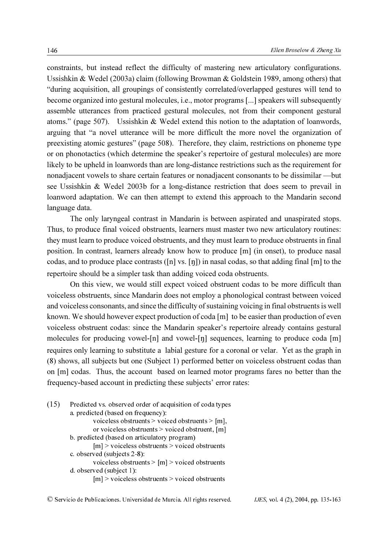constraints, but instead reflect the difficulty of mastering new articulatory configurations. Ussishkin & Wedel (2003a) claim (following Browman & Goldstein 1989, among others) that "during acquisition, all groupings of consistently correlated/overlapped gestures will tend to become organized into gestural molecules, i.e., motor programs [...] speakers will subsequently assemble utterances from practiced gestural molecules, not from their component gestural atoms." (page 507). Ussishkin & Wedel extend this notion to the adaptation of loanwords, arguing that "a novel utterance will be more difficult the more novel the organization of preexisting atomic gestures" (page 508). Therefore, they claim, restrictions on phoneme type or on phonotactics (which determine the speaker's repertoire of gestural molecules) are more likely to be upheld in loanwords than are long-distance restrictions such as the requirement for nonadjacent vowels to share certain features or nonadjacent consonants to be dissimilar —but see Ussishkin & Wedel 2003b for a long-distance restriction that does seem to prevail in loanword adaptation. We can then attempt to extend this approach to the Mandarin second language data.

The only laryngeal contrast in Mandarin is between aspirated and unaspirated stops. Thus, to produce final voiced obstruents, learners must master two new articulatory routines: they must learn to produce voiced obstruents, and they must learn to produce obstruents in final position. In contrast, learners already know how to produce [m] (in onset), to produce nasal codas, and to produce place contrasts ( $[n]$  vs.  $[n]$ ) in nasal codas, so that adding final  $[m]$  to the repertoire should be a simpler task than adding voiced coda obstruents.

On this view, we would still expect voiced obstruent codas to be more difficult than voiceless obstruents, since Mandarin does not employ a phonological contrast between voiced and voiceless consonants, and since the difficulty of sustaining voicing in final obstruents is well known. We should however expect production of coda [m] to be easier than production of even voiceless obstruent codas: since the Mandarin speaker's repertoire already contains gestural molecules for producing vowel- $[n]$  and vowel- $[n]$  sequences, learning to produce coda  $[m]$ requires only learning to substitute a labial gesture for a coronal or velar. Yet as the graph in (8) shows, all subjects but one (Subject 1) performed better on voiceless obstruent codas than on [m] codas. Thus, the account based on learned motor programs fares no better than the frequency-based account in predicting these subjects' error rates:

| (15) | Predicted vs. observed order of acquisition of coda types |
|------|-----------------------------------------------------------|
|      | a. predicted (based on frequency):                        |
|      | voiceless obstruents > voiced obstruents > $[m]$ ,        |
|      | or voiceless obstruents $>$ voiced obstruent, [m]         |
|      | b. predicted (based on articulatory program)              |
|      | $[m]$ > voiceless obstruents > voiced obstruents          |
|      | c. observed (subjects 2-8):                               |
|      | voiceless obstruents $>$ [m] $>$ voiced obstruents        |
|      | d. observed (subject 1):                                  |
|      | $[m]$ > voiceless obstruents > voiced obstruents          |
|      |                                                           |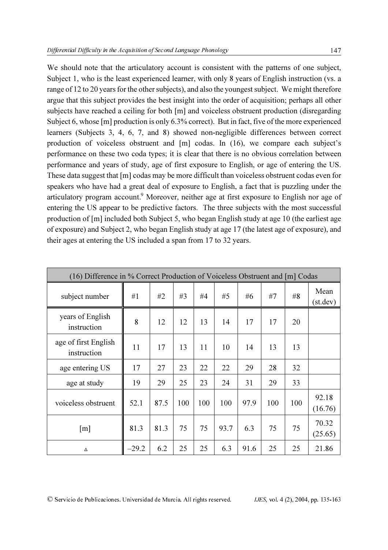We should note that the articulatory account is consistent with the patterns of one subject, Subject 1, who is the least experienced learner, with only 8 years of English instruction (vs. a range of 12 to 20 years for the other subjects), and also the youngest subject. We might therefore argue that this subject provides the best insight into the order of acquisition; perhaps all other subjects have reached a ceiling for both [m] and voiceless obstruent production (disregarding Subject 6, whose [m] production is only 6.3% correct). But in fact, five of the more experienced learners (Subjects 3, 4, 6, 7, and 8) showed non-negligible differences between correct production of voiceless obstruent and [m] codas. In (16), we compare each subject's performance on these two coda types; it is clear that there is no obvious correlation between performance and years of study, age of first exposure to English, or age of entering the US. These data suggest that [m] codas may be more difficult than voiceless obstruent codas even for speakers who have had a great deal of exposure to English, a fact that is puzzling under the articulatory program account.<sup>9</sup> Moreover, neither age at first exposure to English nor age of entering the US appear to be predictive factors. The three subjects with the most successful production of [m] included both Subject 5, who began English study at age 10 (the earliest age of exposure) and Subject 2, who began English study at age 17 (the latest age of exposure), and their ages at entering the US included a span from 17 to 32 years.

| (16) Difference in % Correct Production of Voiceless Obstruent and [m] Codas |         |      |     |     |      |      |     |     |                  |
|------------------------------------------------------------------------------|---------|------|-----|-----|------|------|-----|-----|------------------|
| subject number                                                               | #1      | #2   | #3  | #4  | #5   | #6   | #7  | #8  | Mean<br>(st.dev) |
| years of English<br>instruction                                              | 8       | 12   | 12  | 13  | 14   | 17   | 17  | 20  |                  |
| age of first English<br>instruction                                          | 11      | 17   | 13  | 11  | 10   | 14   | 13  | 13  |                  |
| age entering US                                                              | 17      | 27   | 23  | 22  | 22   | 29   | 28  | 32  |                  |
| age at study                                                                 | 19      | 29   | 25  | 23  | 24   | 31   | 29  | 33  |                  |
| voiceless obstruent                                                          | 52.1    | 87.5 | 100 | 100 | 100  | 97.9 | 100 | 100 | 92.18<br>(16.76) |
| [m]                                                                          | 81.3    | 81.3 | 75  | 75  | 93.7 | 6.3  | 75  | 75  | 70.32<br>(25.65) |
| Δ                                                                            | $-29.2$ | 6.2  | 25  | 25  | 6.3  | 91.6 | 25  | 25  | 21.86            |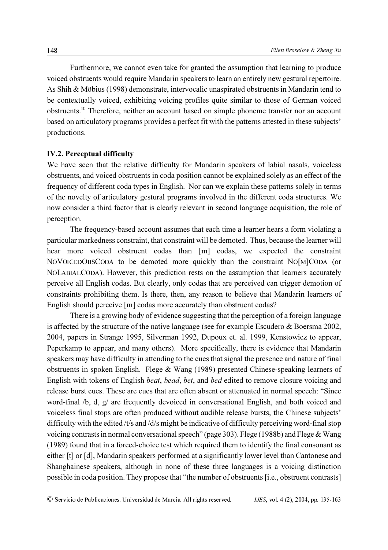Furthermore, we cannot even take for granted the assumption that learning to produce voiced obstruents would require Mandarin speakers to learn an entirely new gestural repertoire. As Shih & Möbius (1998) demonstrate, intervocalic unaspirated obstruents in Mandarin tend to be contextually voiced, exhibiting voicing profiles quite similar to those of German voiced obstruents.10 Therefore, neither an account based on simple phoneme transfer nor an account based on articulatory programs provides a perfect fit with the patterns attested in these subjects' productions.

## IV.2. Perceptual difficulty

We have seen that the relative difficulty for Mandarin speakers of labial nasals, voiceless obstruents, and voiced obstruents in coda position cannot be explained solely as an effect of the frequency of different coda types in English. Nor can we explain these patterns solely in terms of the novelty of articulatory gestural programs involved in the different coda structures. We now consider a third factor that is clearly relevant in second language acquisition, the role of perception.

The frequency-based account assumes that each time a learner hears a form violating a particular markedness constraint, that constraint will be demoted. Thus, because the learner will hear more voiced obstruent codas than [m] codas, we expected the constraint NOVOICEDOBSCODA to be demoted more quickly than the constraint NO[M]CODA (or NOLABIALCODA). However, this prediction rests on the assumption that learners accurately perceive all English codas. But clearly, only codas that are perceived can trigger demotion of constraints prohibiting them. Is there, then, any reason to believe that Mandarin learners of English should perceive [m] codas more accurately than obstruent codas?

There is a growing body of evidence suggesting that the perception of a foreign language is affected by the structure of the native language (see for example Escudero & Boersma 2002, 2004, papers in Strange 1995, Silverman 1992, Dupoux et. al. 1999, Kenstowicz to appear, Peperkamp to appear, and many others). More specifically, there is evidence that Mandarin speakers may have difficulty in attending to the cues that signal the presence and nature of final obstruents in spoken English. Flege & Wang (1989) presented Chinese-speaking learners of English with tokens of English beat, bead, bet, and bed edited to remove closure voicing and release burst cues. These are cues that are often absent or attenuated in normal speech: "Since word-final /b, d, g/ are frequently devoiced in conversational English, and both voiced and voiceless final stops are often produced without audible release bursts, the Chinese subjects' difficulty with the edited /t/s and /d/s might be indicative of difficulty perceiving word-final stop voicing contrasts in normal conversational speech" (page 303). Flege (1988b) and Flege & Wang (1989) found that in a forced-choice test which required them to identify the final consonant as either [t] or [d], Mandarin speakers performed at a significantly lower level than Cantonese and Shanghainese speakers, although in none of these three languages is a voicing distinction possible in coda position. They propose that "the number of obstruents [i.e., obstruent contrasts]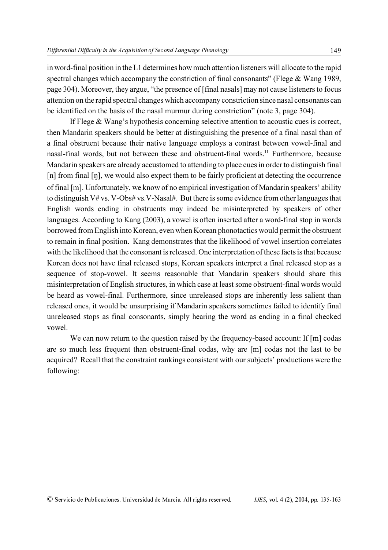in word-final position in the L1 determines how much attention listeners will allocate to the rapid spectral changes which accompany the constriction of final consonants" (Flege & Wang 1989, page 304). Moreover, they argue, "the presence of [final nasals] may not cause listeners to focus attention on the rapid spectral changes which accompany constriction since nasal consonants can be identified on the basis of the nasal murmur during constriction" (note 3, page 304).

If Flege & Wang's hypothesis concerning selective attention to acoustic cues is correct, then Mandarin speakers should be better at distinguishing the presence of a final nasal than of a final obstruent because their native language employs a contrast between vowel-final and nasal-final words, but not between these and obstruent-final words.<sup>11</sup> Furthermore, because Mandarin speakers are already accustomed to attending to place cues in order to distinguish final  $[n]$  from final  $[n]$ , we would also expect them to be fairly proficient at detecting the occurrence of final [m]. Unfortunately, we know of no empirical investigation of Mandarin speakers' ability to distinguish V# vs. V-Obs# vs. V-Nasal#. But there is some evidence from other languages that English words ending in obstruents may indeed be misinterpreted by speakers of other languages. According to Kang (2003), a vowel is often inserted after a word-final stop in words borrowed from English into Korean, even when Korean phonotactics would permit the obstruent to remain in final position. Kang demonstrates that the likelihood of vowel insertion correlates with the likelihood that the consonant is released. One interpretation of these facts is that because Korean does not have final released stops, Korean speakers interpret a final released stop as a sequence of stop-vowel. It seems reasonable that Mandarin speakers should share this misinterpretation of English structures, in which case at least some obstruent-final words would be heard as vowel-final. Furthermore, since unreleased stops are inherently less salient than released ones, it would be unsurprising if Mandarin speakers sometimes failed to identify final unreleased stops as final consonants, simply hearing the word as ending in a final checked vowel.

We can now return to the question raised by the frequency-based account: If [m] codas are so much less frequent than obstruent-final codas, why are [m] codas not the last to be acquired? Recall that the constraint rankings consistent with our subjects' productions were the following: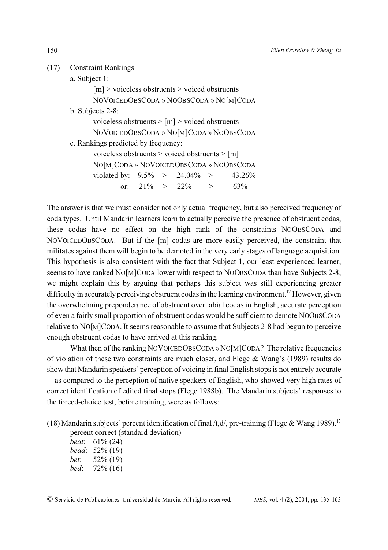| (17) Constraint Rankings                         |
|--------------------------------------------------|
| a. Subject 1:                                    |
| $[m]$ > voiceless obstruents > voiced obstruents |

|                     | $\frac{1}{1111}$ . The strategic of the state of the state of the state of the state of the state of the state of the state of the state of the state of the state of the state of the state of the state of the state of the sta |                                         |
|---------------------|-----------------------------------------------------------------------------------------------------------------------------------------------------------------------------------------------------------------------------------|-----------------------------------------|
|                     |                                                                                                                                                                                                                                   | NOVOICEDOBSCODA » NOOBSCODA » NO[M]CODA |
| b. Subjects $2-8$ : |                                                                                                                                                                                                                                   |                                         |
|                     | voiceless obstruents $>$ [m] $>$ voiced obstruents                                                                                                                                                                                |                                         |
|                     |                                                                                                                                                                                                                                   | NOVOICEDOBSCODA » NO[M]CODA » NOOBSCODA |
|                     | c. Rankings predicted by frequency:                                                                                                                                                                                               |                                         |
|                     | voiceless obstruents $>$ voiced obstruents $>$ [m]                                                                                                                                                                                |                                         |

NO[M]CODA » NOVOICEDOBSCODA » NOOBSCODA violated by:  $9.5\% > 24.04\% > 43.26\%$ or:  $21\% > 22\% > 63\%$ 

The answer is that we must consider not only actual frequency, but also perceived frequency of coda types. Until Mandarin learners learn to actually perceive the presence of obstruent codas, these codas have no effect on the high rank of the constraints NOOBSCODA and NOVOICEDOBSCODA. But if the [m] codas are more easily perceived, the constraint that militates against them will begin to be demoted in the very early stages of language acquisition. This hypothesis is also consistent with the fact that Subject 1, our least experienced learner, seems to have ranked NO[M]CODA lower with respect to NOOBSCODA than have Subjects 2-8; we might explain this by arguing that perhaps this subject was still experiencing greater difficulty in accurately perceiving obstruent codas in the learning environment.<sup>12</sup> However, given the overwhelming preponderance of obstruent over labial codas in English, accurate perception of even a fairly small proportion of obstruent codas would be sufficient to demote NOOBSCODA relative to NO[M]CODA. It seems reasonable to assume that Subjects 2-8 had begun to perceive enough obstruent codas to have arrived at this ranking.

What then of the ranking NOVOICEDOBSCODA » NO[M]CODA? The relative frequencies of violation of these two constraints are much closer, and Flege & Wang's (1989) results do show that Mandarin speakers' perception of voicing in final English stops is not entirely accurate —as compared to the perception of native speakers of English, who showed very high rates of correct identification of edited final stops (Flege 1988b). The Mandarin subjects' responses to the forced-choice test, before training, were as follows:

(18) Mandarin subjects' percent identification of final /t,d/, pre-training (Flege & Wang 1989).<sup>13</sup> percent correct (standard deviation)

beat: 61% (24) bead: 52% (19) bet: 52% (19) bed: 72% (16)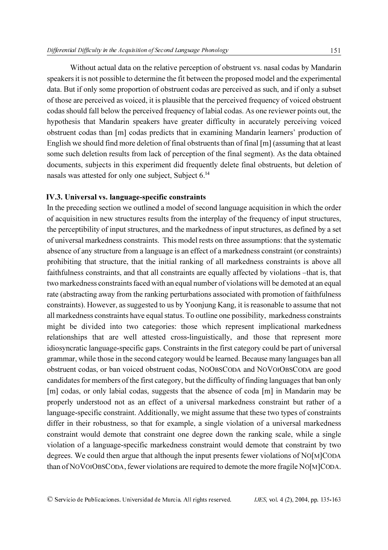Without actual data on the relative perception of obstruent vs. nasal codas by Mandarin speakers it is not possible to determine the fit between the proposed model and the experimental data. But if only some proportion of obstruent codas are perceived as such, and if only a subset of those are perceived as voiced, it is plausible that the perceived frequency of voiced obstruent codas should fall below the perceived frequency of labial codas. As one reviewer points out, the hypothesis that Mandarin speakers have greater difficulty in accurately perceiving voiced obstruent codas than [m] codas predicts that in examining Mandarin learners' production of English we should find more deletion of final obstruents than of final [m] (assuming that at least some such deletion results from lack of perception of the final segment). As the data obtained documents, subjects in this experiment did frequently delete final obstruents, but deletion of nasals was attested for only one subject, Subject 6.14

#### IV.3. Universal vs. language-specific constraints

In the preceding section we outlined a model of second language acquisition in which the order of acquisition in new structures results from the interplay of the frequency of input structures, the perceptibility of input structures, and the markedness of input structures, as defined by a set of universal markedness constraints. This model rests on three assumptions: that the systematic absence of any structure from a language is an effect of a markedness constraint (or constraints) prohibiting that structure, that the initial ranking of all markedness constraints is above all faithfulness constraints, and that all constraints are equally affected by violations –that is, that two markedness constraints faced with an equal number of violations will be demoted at an equal rate (abstracting away from the ranking perturbations associated with promotion of faithfulness constraints). However, as suggested to us by Yoonjung Kang, it is reasonable to assume that not all markedness constraints have equal status. To outline one possibility, markedness constraints might be divided into two categories: those which represent implicational markedness relationships that are well attested cross-linguistically, and those that represent more idiosyncratic language-specific gaps. Constraints in the first category could be part of universal grammar, while those in the second category would be learned. Because many languages ban all obstruent codas, or ban voiced obstruent codas, NOOBSCODA and NOVOIOBSCODA are good candidates for members of the first category, but the difficulty of finding languages that ban only [m] codas, or only labial codas, suggests that the absence of coda [m] in Mandarin may be properly understood not as an effect of a universal markedness constraint but rather of a language-specific constraint. Additionally, we might assume that these two types of constraints differ in their robustness, so that for example, a single violation of a universal markedness constraint would demote that constraint one degree down the ranking scale, while a single violation of a language-specific markedness constraint would demote that constraint by two degrees. We could then argue that although the input presents fewer violations of NO[M]CODA than of NOVOIOBSCODA, fewer violations are required to demote the more fragile NO[M]CODA.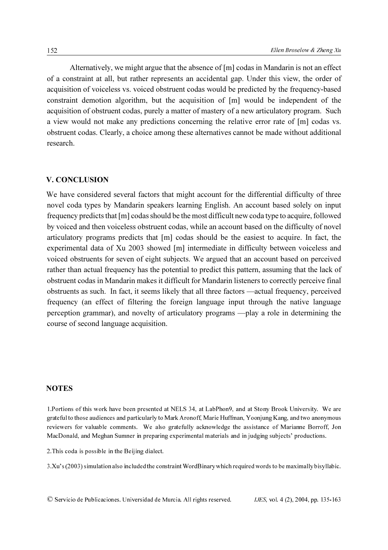Alternatively, we might argue that the absence of [m] codas in Mandarin is not an effect of a constraint at all, but rather represents an accidental gap. Under this view, the order of acquisition of voiceless vs. voiced obstruent codas would be predicted by the frequency-based constraint demotion algorithm, but the acquisition of [m] would be independent of the acquisition of obstruent codas, purely a matter of mastery of a new articulatory program. Such a view would not make any predictions concerning the relative error rate of [m] codas vs. obstruent codas. Clearly, a choice among these alternatives cannot be made without additional research.

#### V. CONCLUSION

We have considered several factors that might account for the differential difficulty of three novel coda types by Mandarin speakers learning English. An account based solely on input frequency predicts that [m] codas should be the most difficult new coda type to acquire, followed by voiced and then voiceless obstruent codas, while an account based on the difficulty of novel articulatory programs predicts that [m] codas should be the easiest to acquire. In fact, the experimental data of Xu 2003 showed [m] intermediate in difficulty between voiceless and voiced obstruents for seven of eight subjects. We argued that an account based on perceived rather than actual frequency has the potential to predict this pattern, assuming that the lack of obstruent codas in Mandarin makes it difficult for Mandarin listeners to correctly perceive final obstruents as such. In fact, it seems likely that all three factors —actual frequency, perceived frequency (an effect of filtering the foreign language input through the native language perception grammar), and novelty of articulatory programs —play a role in determining the course of second language acquisition.

#### **NOTES**

1.Portions of this work have been presented at NELS 34, at LabPhon9, and at Stony Brook University. We are grateful to those audiences and particularly to Mark Aronoff, Marie Huffman, Yoonjung Kang, and two anonymous reviewers for valuable comments. We also gratefully acknowledge the assistance of Marianne Borroff, Jon MacDonald, and Meghan Sumner in preparing experimental materials and in judging subjects' productions.

2.This coda is possible in the Beijing dialect.

3.Xu's (2003) simulation also included the constraint WordBinary which required words to be maximally bisyllabic.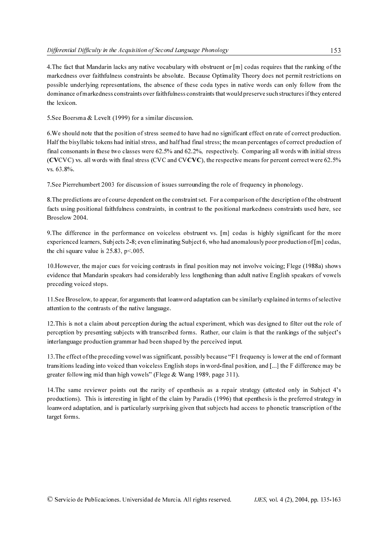4.The fact that Mandarin lacks any native vocabulary with obstruent or [m] codas requires that the ranking of the markedness over faithfulness constraints be absolute. Because Optimality Theory does not permit restrictions on possible underlying representations, the absence of these coda types in native words can only follow from the dominance of markedness constraints over faithfulness constraints that would preserve such structures if they entered the lexicon.

5.See Boersma & Levelt (1999) for a similar discussion.

6.We should note that the position of stress seemed to have had no significant effect on rate of correct production. Half the bisyllabic tokens had initial stress, and half had final stress; the mean percentages of correct production of final consonants in these two classes were 62.5% and 62.2%, respectively. Comparing all words with initial stress (CVCVC) vs. all words with final stress (CVC and CVCVC), the respective means for percent correct were 62.5% vs. 63.8%.

7.See Pierrehumbert 2003 for discussion of issues surrounding the role of frequency in phonology.

8.The predictions are of course dependent on the constraint set. For a comparison of the description of the obstruent facts using positional faithfulness constraints, in contrast to the positional markedness constraints used here, see Broselow 2004.

9.The difference in the performance on voiceless obstruent vs. [m] codas is highly significant for the more experienced learners, Subjects 2-8; even eliminating Subject 6, who had anomalously poor production of [m] codas, the chi square value is  $25.83$ ,  $p < 005$ .

10.However, the major cues for voicing contrasts in final position may not involve voicing; Flege (1988a) shows evidence that Mandarin speakers had considerably less lengthening than adult native English speakers of vowels preceding voiced stops.

11.See Broselow, to appear, for arguments that loanword adaptation can be similarly explained in terms of selective attention to the contrasts of the native language.

12.This is not a claim about perception during the actual experiment, which was designed to filter out the role of perception by presenting subjects with transcribed forms. Rather, our claim is that the rankings of the subject's interlanguage production grammar had been shaped by the perceived input.

13.The effect of the preceding vowel was significant, possibly because "F1 frequency is lower at the end of formant transitions leading into voiced than voiceless English stops in word-final position, and [...] the F difference may be greater following mid than high vowels" (Flege & Wang 1989, page 311).

14.The same reviewer points out the rarity of epenthesis as a repair strategy (attested only in Subject 4's productions). This is interesting in light of the claim by Paradis (1996) that epenthesis is the preferred strategy in loanword adaptation, and is particularly surprising given that subjects had access to phonetic transcription of the target forms.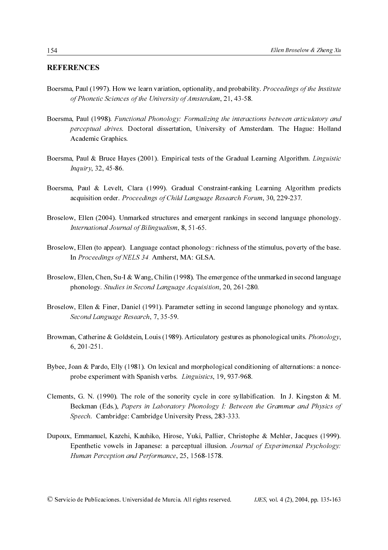#### REFERENCES

- Boersma, Paul (1997). How we learn variation, optionality, and probability. Proceedings of the Institute of Phonetic Sciences of the University of Amsterdam, 21, 43-58.
- Boersma, Paul (1998). Functional Phonology: Formalizing the interactions between articulatory and perceptual drives. Doctoral dissertation, University of Amsterdam. The Hague: Holland Academic Graphics.
- Boersma, Paul & Bruce Hayes (2001). Empirical tests of the Gradual Learning Algorithm. Linguistic Inquiry, 32, 45-86.
- Boersma, Paul & Levelt, Clara (1999). Gradual Constraint-ranking Learning Algorithm predicts acquisition order. Proceedings of Child Language Research Forum, 30, 229-237.
- Broselow, Ellen (2004). Unmarked structures and emergent rankings in second language phonology. International Journal of Bilingualism, 8, 51-65.
- Broselow, Ellen (to appear). Language contact phonology: richness of the stimulus, poverty of the base. In Proceedings of NELS 34. Amherst, MA: GLSA.
- Broselow, Ellen, Chen, Su-I & Wang, Chilin (1998). The emergence of the unmarked in second language phonology. Studies in Second Language Acquisition, 20, 261-280.
- Broselow, Ellen & Finer, Daniel (1991). Parameter setting in second language phonology and syntax. Second Language Research, 7, 35-59.
- Browman, Catherine & Goldstein, Louis (1989). Articulatory gestures as phonological units. *Phonology*, 6, 201-251.
- Bybee, Joan & Pardo, Elly (1981). On lexical and morphological conditioning of alternations: a nonceprobe experiment with Spanish verbs. Linguistics, 19, 937-968.
- Clements, G. N. (1990). The role of the sonority cycle in core syllabification. In J. Kingston & M. Beckman (Eds.), Papers in Laboratory Phonology I: Between the Grammar and Physics of Speech. Cambridge: Cambridge University Press, 283-333.
- Dupoux, Emmanuel, Kazehi, Kauhiko, Hirose, Yuki, Pallier, Christophe & Mehler, Jacques (1999). Epenthetic vowels in Japanese: a perceptual illusion. Journal of Experimental Psychology: Human Perception and Performance, 25, 1568-1578.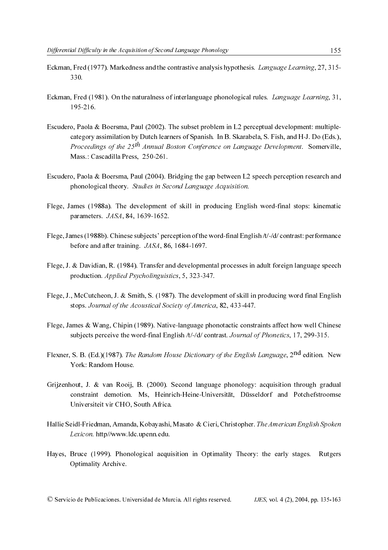- Eckman, Fred (1977). Markedness and the contrastive analysis hypothesis. Language Learning, 27, 315- 330.
- Eckman, Fred (1981). On the naturalness of interlanguage phonological rules. Language Learning, 31, 195-216.
- Escudero, Paola & Boersma, Paul (2002). The subset problem in L2 perceptual development: multiplecategory assimilation by Dutch learners of Spanish. In B. Skarabela, S. Fish, and H-J. Do (Eds.), Proceedings of the  $25<sup>th</sup>$  Annual Boston Conference on Language Development. Somerville, Mass.: Cascadilla Press, 250-261.
- Escudero, Paola & Boersma, Paul (2004). Bridging the gap between L2 speech perception research and phonological theory. Studies in Second Language Acquisition.
- Flege, James (1988a). The development of skill in producing English word-final stops: kinematic parameters. JASA, 84, 1639-1652.
- Flege, James (1988b). Chinese subjects' perception of the word-final English /t/-/d/ contrast: performance before and after training. JASA, 86, 1684-1697.
- Flege, J. & Davidian, R. (1984). Transfer and developmental processes in adult foreign language speech production. Applied Psycholinguistics, 5, 323-347.
- Flege, J., McCutcheon, J. & Smith, S. (1987). The development of skill in producing word final English stops. Journal of the Acoustical Society of America, 82, 433-447.
- Flege, James & Wang, Chipin (1989). Native-language phonotactic constraints affect how well Chinese subjects perceive the word-final English /t/-/d/ contrast. Journal of Phonetics, 17, 299-315.
- Flexner, S. B. (Ed.)(1987). The Random House Dictionary of the English Language, 2<sup>nd</sup> edition. New York: Random House.
- Grijzenhout, J. & van Rooij, B. (2000). Second language phonology: acquisition through gradual constraint demotion. Ms, Heinrich-Heine-Universität, Düsseldorf and Potchefstroomse Universiteit vir CHO, South Africa.
- Hallie Seidl-Friedman, Amanda, Kobayashi, Masato & Cieri, Christopher. The American English Spoken Lexicon. http//www.ldc.upenn.edu.
- Hayes, Bruce (1999). Phonological acquisition in Optimality Theory: the early stages. Rutgers Optimality Archive.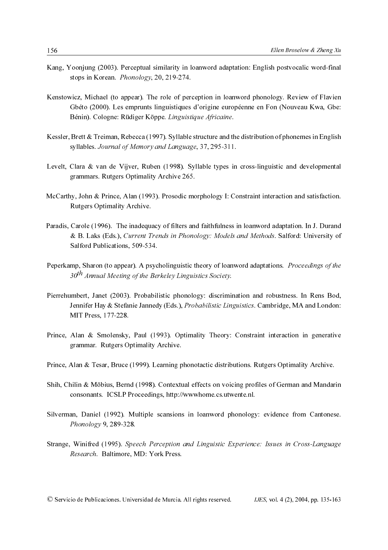- Kang, Yoonjung (2003). Perceptual similarity in loanword adaptation: English postvocalic word-final stops in Korean. Phonology, 20, 219-274.
- Kenstowicz, Michael (to appear). The role of perception in loanword phonology. Review of Flavien Gbéto (2000). Les emprunts linguistiques d'origine européenne en Fon (Nouveau Kwa, Gbe: Bénin). Cologne: Rüdiger Köppe. Linguistique Africaine.
- Kessler, Brett & Treiman, Rebecca (1997). Syllable structure and the distribution of phonemes in English syllables. Journal of Memory and Language, 37, 295-311.
- Levelt, Clara & van de Vijver, Ruben (1998). Syllable types in cross-linguistic and developmental grammars. Rutgers Optimality Archive 265.
- McCarthy, John & Prince, Alan (1993). Prosodic morphology I: Constraint interaction and satisfaction. Rutgers Optimality Archive.
- Paradis, Carole (1996). The inadequacy of filters and faithfulness in loanword adaptation. In J. Durand & B. Laks (Eds.), Current Trends in Phonology: Models and Methods. Salford: University of Salford Publications, 509-534.
- Peperkamp, Sharon (to appear). A psycholinguistic theory of loanword adaptations. Proceedings of the  $30<sup>th</sup>$  Annual Meeting of the Berkeley Linguistics Society.
- Pierrehumbert, Janet (2003). Probabilistic phonology: discrimination and robustness. In Rens Bod, Jennifer Hay & Stefanie Jannedy (Eds.), Probabilistic Linguistics. Cambridge, MA and London: MIT Press, 177-228.
- Prince, Alan & Smolensky, Paul (1993). Optimality Theory: Constraint interaction in generative grammar. Rutgers Optimality Archive.
- Prince, Alan & Tesar, Bruce (1999). Learning phonotactic distributions. Rutgers Optimality Archive.
- Shih, Chilin & Möbius, Bernd (1998). Contextual effects on voicing profiles of German and Mandarin consonants. ICSLP Proceedings, http://wwwhome.cs.utwente.nl.
- Silverman, Daniel (1992). Multiple scansions in loanword phonology: evidence from Cantonese. Phonology 9, 289-328.
- Strange, Winifred (1995). Speech Perception and Linguistic Experience: Issues in Cross-Language Research. Baltimore, MD: York Press.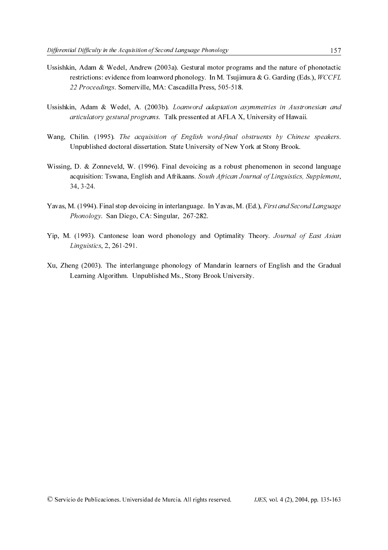- Ussishkin, Adam & Wedel, Andrew (2003a). Gestural motor programs and the nature of phonotactic restrictions: evidence from loanword phonology. In M. Tsujimura & G. Garding (Eds.),  $WCCFL$ 22 Proceedings. Somerville, MA: Cascadilla Press, 505-518.
- Ussishkin, Adam & Wedel, A. (2003b). Loanword adaptation asymmetries in Austronesian and articulatory gestural programs. Talk pressented at AFLA X, University of Hawaii.
- Wang, Chilin. (1995). The acquisition of English word-final obstruents by Chinese speakers. Unpublished doctoral dissertation. State University of New York at Stony Brook.
- Wissing, D. & Zonneveld, W. (1996). Final devoicing as a robust phenomenon in second language acquisition: Tswana, English and Afrikaans. South African Journal of Linguistics, Supplement, 34, 3-24.
- Yavas, M. (1994). Final stop devoicing in interlanguage. In Yavas, M. (Ed.), First and Second Language Phonology. San Diego, CA: Singular, 267-282.
- Yip, M. (1993). Cantonese loan word phonology and Optimality Theory. Journal of East Asian Linguistics, 2, 261-291.
- Xu, Zheng (2003). The interlanguage phonology of Mandarin learners of English and the Gradual Learning Algorithm. Unpublished Ms., Stony Brook University.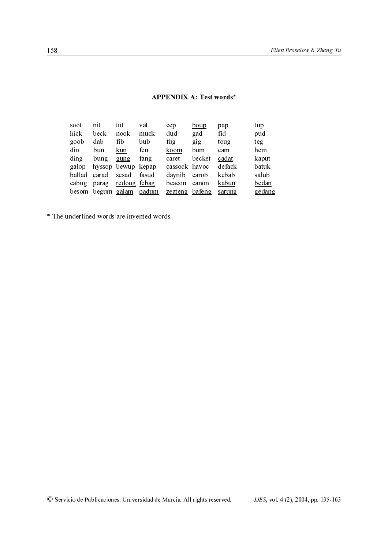| soot<br>hick<br>goob<br>din<br>ding<br>galop<br>ballad<br>cabug<br>besom | nit<br>beck<br>dab<br>bun<br>bung<br>carad<br>parag | tut<br>nook<br>fib<br><u>kun</u><br>gung<br>hyssop bewup kepap<br>sesad<br>redoug febag<br>begum galam padum | vat<br>muck<br>bub<br>fen<br>fang<br>fasud | cep<br>dud<br>fug<br>koom<br>caret<br>cassock havoc<br>daynib<br>beacon<br>zeateng bafeng | boup<br>gad<br>gig<br>bum<br>becket<br>carob<br>canon | pap<br>fid<br>toug<br>cam<br>cadat<br>defack<br>kebab<br>kabun<br>sarung | tup<br>pud<br>teg<br>hem<br>kaput<br>batuk<br>salub<br>bedan<br>gedang |
|--------------------------------------------------------------------------|-----------------------------------------------------|--------------------------------------------------------------------------------------------------------------|--------------------------------------------|-------------------------------------------------------------------------------------------|-------------------------------------------------------|--------------------------------------------------------------------------|------------------------------------------------------------------------|
|                                                                          |                                                     |                                                                                                              | nderlined words are invented words.        |                                                                                           |                                                       |                                                                          |                                                                        |
|                                                                          |                                                     |                                                                                                              |                                            |                                                                                           |                                                       |                                                                          |                                                                        |
|                                                                          |                                                     |                                                                                                              |                                            |                                                                                           |                                                       |                                                                          |                                                                        |
|                                                                          |                                                     |                                                                                                              |                                            |                                                                                           |                                                       |                                                                          |                                                                        |
|                                                                          |                                                     |                                                                                                              |                                            |                                                                                           |                                                       |                                                                          |                                                                        |
|                                                                          |                                                     |                                                                                                              |                                            |                                                                                           |                                                       |                                                                          |                                                                        |
|                                                                          |                                                     |                                                                                                              |                                            |                                                                                           |                                                       |                                                                          |                                                                        |
|                                                                          |                                                     |                                                                                                              |                                            |                                                                                           |                                                       |                                                                          |                                                                        |
|                                                                          |                                                     |                                                                                                              |                                            |                                                                                           |                                                       |                                                                          |                                                                        |
|                                                                          |                                                     |                                                                                                              |                                            |                                                                                           |                                                       |                                                                          |                                                                        |
|                                                                          |                                                     |                                                                                                              |                                            |                                                                                           |                                                       |                                                                          |                                                                        |
|                                                                          |                                                     |                                                                                                              |                                            |                                                                                           |                                                       |                                                                          |                                                                        |
|                                                                          |                                                     |                                                                                                              |                                            |                                                                                           |                                                       |                                                                          |                                                                        |
|                                                                          |                                                     |                                                                                                              |                                            |                                                                                           |                                                       | cio de Publicaciones. Universidad de Murcia. All rights reserved.        | IJES, vol                                                              |
|                                                                          |                                                     |                                                                                                              |                                            |                                                                                           |                                                       |                                                                          |                                                                        |
|                                                                          |                                                     |                                                                                                              |                                            |                                                                                           |                                                       |                                                                          |                                                                        |

#### **APPENDIX A: Test words\***

\* The underlined words are invented words.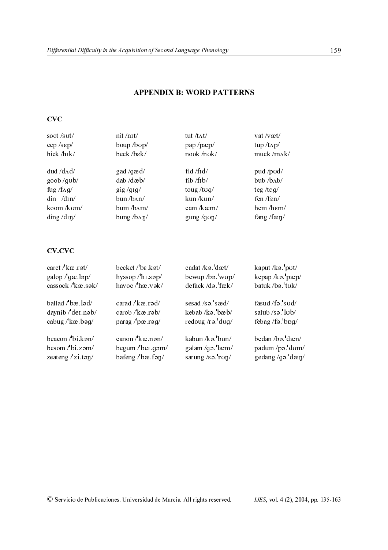## APPENDIX B: WORD PATTERNS

 $CVC$ 

| soot/sut/              | nit/nit/              | tut / $t \Lambda t$ /   | vat / $v$ æt/           |
|------------------------|-----------------------|-------------------------|-------------------------|
| cep / sep/             | boup /bup/            | pap /pæp/               | tup $/t\Lambda p/$      |
| hick/h <sub>I</sub> k/ | beck/bek/             | nook /nok/              | muck /mAk/              |
| $dud / d$ $\Lambda$ d/ | gad /gæd/             | fid $/$ fid $/$         | pud /pud/               |
| goob/ $q$ ub/          | dab /dæb/             | fib /fib/               | $bub$ / $b$ $Ab$ /      |
| fug / $f\Lambda g/$    | $\frac{gig}{g1g'}$    | toug /tog/              | teg/teg/                |
| din /dɪn/              | bun/b <sub>AB</sub>   | kun /kun/               | fen /f $\epsilon$ n/    |
| koom /kum/             | bum/b <sub>AM</sub>   | cam / $kæm/$            | hem $/$ hem $/$         |
| $\dim g / \dim$        | bung/b <sub></sub> n/ | gung / $g \circ \eta$ / | fang /f $\frac{\pi}{2}$ |

# **CV.CVC**

| soot/sut/<br>nit/nt/<br>tut /tʌt/<br>vat/væt/<br>boup /bup/<br>cep/sεp/<br>pap/pæp/<br>tup /tʌp/<br>hick/h <sub>Ik/</sub><br>beck/bek/<br>nook /nok/<br>muck /mAk/<br>$dud / d$ $\Lambda$ d/<br>gad /gæd/<br>fid /fid/<br>pud /pud/<br>dab /dæb/<br>fib /fib/<br>bub /bAb/<br>goob /gub/<br>fug / $f\Lambda g/$<br>toug/tug/<br>$\frac{gig}{gfg}$<br>teg/t $\epsilon$ g/<br>din /dɪn/<br>bun /bAn/<br>kun /kun/<br>fen /fɛn/<br>koom /kum/<br>bum /bAm/<br>cam /kæm/<br>hem /hɛm/<br>ding/din/<br>bung/b^ny/<br>fang/fæn/<br>gung/gon/<br><b>CV.CVC</b><br>caret/ $k$ æ.r $\mathfrak{v}/$<br>becket $/$ be.kat/<br>cadat/kə.dæt/<br>kaput/kə.'put/<br>galop $\frac{1}{9}$ gæ.ləp/<br>hyssop/hi.sap/<br>bewup /ba.'wup/<br>kepap /kə. pæp/<br>batuk /ba.'tuk/<br>havoc / hæ.vək/<br>defack /də. fæk/<br>cassock / kæ.sək/<br>carad / kæ.rəd/<br>sesad /sə. sæd/<br>fasud /fə.'sud/<br>ballad / bæ.ləd/<br>carob/kæ.rəb/<br>salub /sə. lub/<br>daynib / dei.nəb/<br>kebab /kə bæb/<br>cabug/kæ.bəg/<br>redoug/ra. dug/<br>febag /fə. bpg/<br>parag/pæ.rəg/<br>beacon /bi.kan/<br>bedan /bə. dæn/<br>canon $/\ell$ kæ.nan/<br>kabun /kə. bun/<br>besom /bi.zam/<br>begum /bei.gom/<br>galam /gə. læm/<br>padum /pa.'dom/<br>zeateng $/$ zi.tan $/$<br>bafeng / $b$ æ.fən/<br>sarung/sə.run/<br>gedang/gə.'dæn/<br>© Servicio de Publicaciones. Universidad de Murcia. All rights reserved.<br><i>IJES</i> , vol. 4 (2), 2004 |  |  |  |  |
|---------------------------------------------------------------------------------------------------------------------------------------------------------------------------------------------------------------------------------------------------------------------------------------------------------------------------------------------------------------------------------------------------------------------------------------------------------------------------------------------------------------------------------------------------------------------------------------------------------------------------------------------------------------------------------------------------------------------------------------------------------------------------------------------------------------------------------------------------------------------------------------------------------------------------------------------------------------------------------------------------------------------------------------------------------------------------------------------------------------------------------------------------------------------------------------------------------------------------------------------------------------------------------------------------------------------------------------------------------------------------------------------------------------------------|--|--|--|--|
|                                                                                                                                                                                                                                                                                                                                                                                                                                                                                                                                                                                                                                                                                                                                                                                                                                                                                                                                                                                                                                                                                                                                                                                                                                                                                                                                                                                                                           |  |  |  |  |
|                                                                                                                                                                                                                                                                                                                                                                                                                                                                                                                                                                                                                                                                                                                                                                                                                                                                                                                                                                                                                                                                                                                                                                                                                                                                                                                                                                                                                           |  |  |  |  |
|                                                                                                                                                                                                                                                                                                                                                                                                                                                                                                                                                                                                                                                                                                                                                                                                                                                                                                                                                                                                                                                                                                                                                                                                                                                                                                                                                                                                                           |  |  |  |  |
|                                                                                                                                                                                                                                                                                                                                                                                                                                                                                                                                                                                                                                                                                                                                                                                                                                                                                                                                                                                                                                                                                                                                                                                                                                                                                                                                                                                                                           |  |  |  |  |
|                                                                                                                                                                                                                                                                                                                                                                                                                                                                                                                                                                                                                                                                                                                                                                                                                                                                                                                                                                                                                                                                                                                                                                                                                                                                                                                                                                                                                           |  |  |  |  |
|                                                                                                                                                                                                                                                                                                                                                                                                                                                                                                                                                                                                                                                                                                                                                                                                                                                                                                                                                                                                                                                                                                                                                                                                                                                                                                                                                                                                                           |  |  |  |  |
|                                                                                                                                                                                                                                                                                                                                                                                                                                                                                                                                                                                                                                                                                                                                                                                                                                                                                                                                                                                                                                                                                                                                                                                                                                                                                                                                                                                                                           |  |  |  |  |
|                                                                                                                                                                                                                                                                                                                                                                                                                                                                                                                                                                                                                                                                                                                                                                                                                                                                                                                                                                                                                                                                                                                                                                                                                                                                                                                                                                                                                           |  |  |  |  |
|                                                                                                                                                                                                                                                                                                                                                                                                                                                                                                                                                                                                                                                                                                                                                                                                                                                                                                                                                                                                                                                                                                                                                                                                                                                                                                                                                                                                                           |  |  |  |  |
|                                                                                                                                                                                                                                                                                                                                                                                                                                                                                                                                                                                                                                                                                                                                                                                                                                                                                                                                                                                                                                                                                                                                                                                                                                                                                                                                                                                                                           |  |  |  |  |
|                                                                                                                                                                                                                                                                                                                                                                                                                                                                                                                                                                                                                                                                                                                                                                                                                                                                                                                                                                                                                                                                                                                                                                                                                                                                                                                                                                                                                           |  |  |  |  |
|                                                                                                                                                                                                                                                                                                                                                                                                                                                                                                                                                                                                                                                                                                                                                                                                                                                                                                                                                                                                                                                                                                                                                                                                                                                                                                                                                                                                                           |  |  |  |  |
|                                                                                                                                                                                                                                                                                                                                                                                                                                                                                                                                                                                                                                                                                                                                                                                                                                                                                                                                                                                                                                                                                                                                                                                                                                                                                                                                                                                                                           |  |  |  |  |
|                                                                                                                                                                                                                                                                                                                                                                                                                                                                                                                                                                                                                                                                                                                                                                                                                                                                                                                                                                                                                                                                                                                                                                                                                                                                                                                                                                                                                           |  |  |  |  |
|                                                                                                                                                                                                                                                                                                                                                                                                                                                                                                                                                                                                                                                                                                                                                                                                                                                                                                                                                                                                                                                                                                                                                                                                                                                                                                                                                                                                                           |  |  |  |  |
|                                                                                                                                                                                                                                                                                                                                                                                                                                                                                                                                                                                                                                                                                                                                                                                                                                                                                                                                                                                                                                                                                                                                                                                                                                                                                                                                                                                                                           |  |  |  |  |
|                                                                                                                                                                                                                                                                                                                                                                                                                                                                                                                                                                                                                                                                                                                                                                                                                                                                                                                                                                                                                                                                                                                                                                                                                                                                                                                                                                                                                           |  |  |  |  |
|                                                                                                                                                                                                                                                                                                                                                                                                                                                                                                                                                                                                                                                                                                                                                                                                                                                                                                                                                                                                                                                                                                                                                                                                                                                                                                                                                                                                                           |  |  |  |  |
|                                                                                                                                                                                                                                                                                                                                                                                                                                                                                                                                                                                                                                                                                                                                                                                                                                                                                                                                                                                                                                                                                                                                                                                                                                                                                                                                                                                                                           |  |  |  |  |
|                                                                                                                                                                                                                                                                                                                                                                                                                                                                                                                                                                                                                                                                                                                                                                                                                                                                                                                                                                                                                                                                                                                                                                                                                                                                                                                                                                                                                           |  |  |  |  |
|                                                                                                                                                                                                                                                                                                                                                                                                                                                                                                                                                                                                                                                                                                                                                                                                                                                                                                                                                                                                                                                                                                                                                                                                                                                                                                                                                                                                                           |  |  |  |  |
|                                                                                                                                                                                                                                                                                                                                                                                                                                                                                                                                                                                                                                                                                                                                                                                                                                                                                                                                                                                                                                                                                                                                                                                                                                                                                                                                                                                                                           |  |  |  |  |
|                                                                                                                                                                                                                                                                                                                                                                                                                                                                                                                                                                                                                                                                                                                                                                                                                                                                                                                                                                                                                                                                                                                                                                                                                                                                                                                                                                                                                           |  |  |  |  |
|                                                                                                                                                                                                                                                                                                                                                                                                                                                                                                                                                                                                                                                                                                                                                                                                                                                                                                                                                                                                                                                                                                                                                                                                                                                                                                                                                                                                                           |  |  |  |  |
|                                                                                                                                                                                                                                                                                                                                                                                                                                                                                                                                                                                                                                                                                                                                                                                                                                                                                                                                                                                                                                                                                                                                                                                                                                                                                                                                                                                                                           |  |  |  |  |
|                                                                                                                                                                                                                                                                                                                                                                                                                                                                                                                                                                                                                                                                                                                                                                                                                                                                                                                                                                                                                                                                                                                                                                                                                                                                                                                                                                                                                           |  |  |  |  |
|                                                                                                                                                                                                                                                                                                                                                                                                                                                                                                                                                                                                                                                                                                                                                                                                                                                                                                                                                                                                                                                                                                                                                                                                                                                                                                                                                                                                                           |  |  |  |  |
|                                                                                                                                                                                                                                                                                                                                                                                                                                                                                                                                                                                                                                                                                                                                                                                                                                                                                                                                                                                                                                                                                                                                                                                                                                                                                                                                                                                                                           |  |  |  |  |
|                                                                                                                                                                                                                                                                                                                                                                                                                                                                                                                                                                                                                                                                                                                                                                                                                                                                                                                                                                                                                                                                                                                                                                                                                                                                                                                                                                                                                           |  |  |  |  |
|                                                                                                                                                                                                                                                                                                                                                                                                                                                                                                                                                                                                                                                                                                                                                                                                                                                                                                                                                                                                                                                                                                                                                                                                                                                                                                                                                                                                                           |  |  |  |  |
|                                                                                                                                                                                                                                                                                                                                                                                                                                                                                                                                                                                                                                                                                                                                                                                                                                                                                                                                                                                                                                                                                                                                                                                                                                                                                                                                                                                                                           |  |  |  |  |
|                                                                                                                                                                                                                                                                                                                                                                                                                                                                                                                                                                                                                                                                                                                                                                                                                                                                                                                                                                                                                                                                                                                                                                                                                                                                                                                                                                                                                           |  |  |  |  |
|                                                                                                                                                                                                                                                                                                                                                                                                                                                                                                                                                                                                                                                                                                                                                                                                                                                                                                                                                                                                                                                                                                                                                                                                                                                                                                                                                                                                                           |  |  |  |  |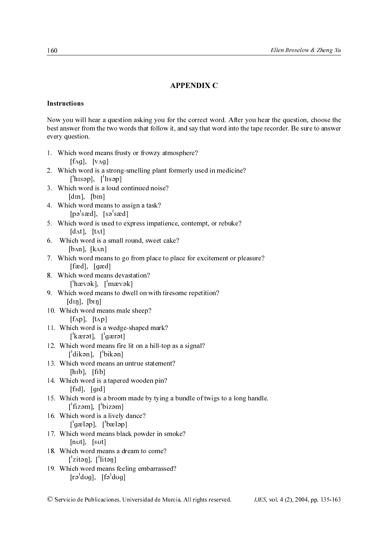# APPENDIX C

#### Instructions

Now you will hear a question asking you for the correct word. After you hear the question, choose the best answer from the two words that follow it, and say that word into the tape recorder. Be sure to answer every question.

| Now you will hear a question asking you for the correct word. After you hear the<br>best answer from the two words that follow it, and say that word into the tape record<br>every question. |
|----------------------------------------------------------------------------------------------------------------------------------------------------------------------------------------------|
| 1. Which word means frusty or frowzy atmosphere?<br>$[f\Lambda g]$ , $[v\Lambda g]$                                                                                                          |
| 2. Which word is a strong-smelling plant formerly used in medicine?<br>$\begin{bmatrix} \text{h} & \text{h} & \text{h} \\ \text{h} & \text{h} & \text{h} \end{bmatrix}$                      |
| 3. Which word is a loud continued noise?<br>[din], [bin]                                                                                                                                     |
| 4. Which word means to assign a task?<br>$[p^{\circ}]$ sæd], $[s^{\circ}]$ sæd]                                                                                                              |
| 5. Which word is used to express impatience, contempt, or rebuke?<br>$\left[ d \Lambda t \right]$ , $\left[ t \Lambda t \right]$                                                             |
| Which word is a small round, sweet cake?<br>6.<br>$[b\land n]$ , $[k\land n]$                                                                                                                |
| 7. Which word means to go from place to place for excitement or pleasure?<br>$[$ fæd $],$ $[$ gæd $]$                                                                                        |
| 8. Which word means devastation?<br>$\left[\begin{array}{cc} \text{hævək}, & \text{l'mævək} \end{array}\right]$                                                                              |
| 9. Which word means to dwell on with tiresome repetition?<br>$[dn]$ , $[bn]$                                                                                                                 |
| 10. Which word means male sheep?<br>$[f\Lambda p]$ , $[t\Lambda p]$<br>11. Which word is a wedge-shaped mark?                                                                                |
| $\left[\right]$ kærət], $\left[\right]$ gærət]<br>12. Which word means fire lit on a hill-top as a signal?                                                                                   |
| $\left[\right]$ dikən, $\left[\right]$ bikən<br>13. Which word means an untrue statement?                                                                                                    |
| $[h_1b], [fh]$<br>14. Which word is a tapered wooden pin?                                                                                                                                    |
| $[fid]$ , $[gid]$<br>15. Which word is a broom made by tying a bundle of twigs to a long handle.                                                                                             |
| $[$ fizəm], $[$ bizəm]<br>16. Which word is a lively dance?                                                                                                                                  |
| $\lceil \text{qælap}, \rceil$ bæləpl<br>17. Which word means black powder in smoke?                                                                                                          |
| $[nU],$ [sut]<br>18. Which word means a dream to come?                                                                                                                                       |
| $\lceil$ zitən], $\lceil$ litən]<br>19. Which word means feeling embarrassed?                                                                                                                |
| $[r\partial^{\dagger}d\sigma g]$ , $[f\partial^{\dagger}d\sigma g]$                                                                                                                          |
| © Servicio de Publicaciones. Universidad de Murcia. All rights reserved.<br>$JES, vol. 4$                                                                                                    |
|                                                                                                                                                                                              |
|                                                                                                                                                                                              |
|                                                                                                                                                                                              |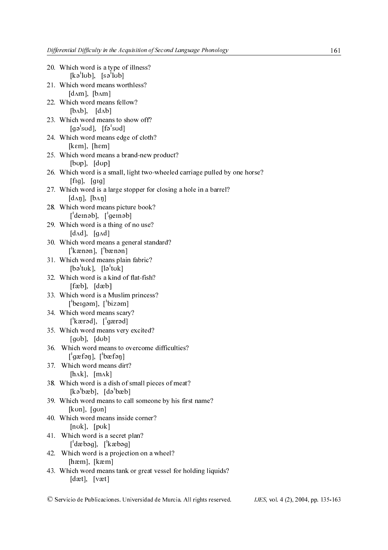| 20. Which word is a type of illness?<br>$[k\circ'sub]$ , $[s\circ'sub]$                                                            |
|------------------------------------------------------------------------------------------------------------------------------------|
| 21. Which word means worthless?<br>$[d\Lambda m]$ , $[b\Lambda m]$                                                                 |
| 22. Which word means fellow?<br>$[b \Lambda b]$ , $[d \Lambda b]$                                                                  |
| 23. Which word means to show off?<br>$[{\sf ga}^{\dagger} {\sf s}{\sf u}{\sf d}], \;$ $[{\sf fa}^{\dagger} {\sf s}{\sf u}{\sf d}]$ |
| 24. Which word means edge of cloth?<br>[ $k\in\mathbb{N}$ ], [ $h\in\mathbb{N}$ ]                                                  |
| 25. Which word means a brand-new product?<br>$[b\nu p]$ , $[d\nu p]$                                                               |
| 26. Which word is a small, light two-wheeled carriage pulled by one horse?<br>$[fig]$ , $[fig]$                                    |
| 27. Which word is a large stopper for closing a hole in a barrel?<br>$[d\Lambda\eta]$ , $[b\Lambda\eta]$                           |
| 28. Which word means picture book?<br>$\left[\right]$ deinəb], $\left[\right]$ geinəb]                                             |
| 29. Which word is a thing of no use?<br>$[d\Lambda d]$ , $[g\Lambda d]$                                                            |
| 30. Which word means a general standard?<br>$\left[ \text{'kænon}, \text{'} \text{bænon} \right]$                                  |
| 31. Which word means plain fabric?<br>$[ba^{\dagger}$ tuk], $[la^{\dagger}$ tuk]                                                   |
| 32. Which word is a kind of flat-fish?<br>$[fab]$ , $[dæb]$                                                                        |
| 33. Which word is a Muslim princess?<br>$\lceil \text{begin}, \lceil \text{big} \rangle$                                           |
| 34. Which word means scary?<br>$\left[\right]$ kærəd], $\left[\right]$ gærəd]                                                      |
| 35. Which word means very excited?<br>[q <sub>ub</sub> ], [d <sub>ub</sub> ]                                                       |
| 36. Which word means to overcome difficulties?<br>$[$ 'gæfəŋ], $[$ 'bæfəŋ]                                                         |
| 37. Which word means dirt?<br>$[h\Lambda k]$ , $[m\Lambda k]$                                                                      |
| 38. Which word is a dish of small pieces of meat?<br>$[k\circ b\circ b], [d\circ b\circ b]$                                        |
| 39. Which word means to call someone by his first name?<br>[kun], [gon]                                                            |
| 40. Which word means inside corner?<br>$[nuk]$ , $[puk]$                                                                           |
| 41. Which word is a secret plan?<br>$\left[\right]$ dæbəg], $\left[\right]$ kæbəg]                                                 |
| 42. Which word is a projection on a wheel?<br>$[ham]$ , $[kæm]$                                                                    |
| 43. Which word means tank or great vessel for holding liquids?<br>$[dat]$ , $[vat]$                                                |

© Servicio de Publicaciones. Universidad de Murcia. All rights reserved. IJES, vol. 4 (2), 2004, pp. 135-163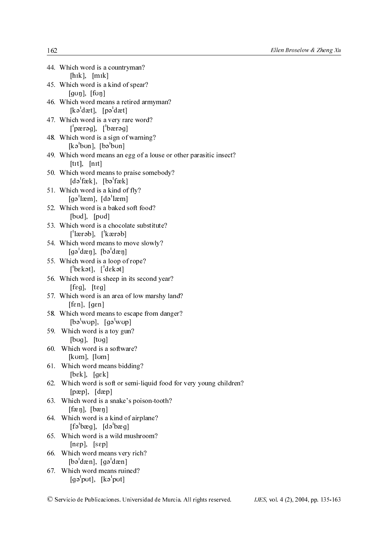|     | 44. Which word is a countryman?<br>[hik], [mik]                                                                                                                       |
|-----|-----------------------------------------------------------------------------------------------------------------------------------------------------------------------|
|     | 45. Which word is a kind of spear?<br>$[g \circ \eta], [f \circ \eta]$                                                                                                |
|     | 46. Which word means a retired armyman?<br>$[k\circ dæt], [p\circ dæt]$                                                                                               |
|     | 47. Which word is a very rare word?<br>$\lceil \cdot \rceil$ pærəq], $\lceil \cdot \rceil$ bærəq]                                                                     |
|     | 48. Which word is a sign of warning?<br>$[k\circ'$ bun], $[b\circ'$ bun]                                                                                              |
|     | 49. Which word means an egg of a louse or other parasitic insect?<br>$[$ tīt $],$ $[$ nīt $]$                                                                         |
|     | 50. Which word means to praise somebody?<br>$\lceil d\rho'$ fæk], $\lceil b\rho'$ fæk]                                                                                |
|     | 51. Which word is a kind of fly?<br>$\lceil \text{g} \circ \text{h} \text{z} \cdot \text{m} \rceil$ , $\lceil \text{d} \circ \text{h} \text{z} \cdot \text{m} \rceil$ |
|     | 52. Which word is a baked soft food?<br>$[b\text{od}]$ , $[p\text{od}]$                                                                                               |
|     | 53. Which word is a chocolate substitute?<br>$\left[ \text{^\prime}$ lærəb], $\left[ \text{^\prime}$ kærəb]                                                           |
|     | 54. Which word means to move slowly?<br>$[99]$ dæ $\eta$ ], $[69]$ dæ $\eta$ ]                                                                                        |
|     | 55. Which word is a loop of rope?<br>$\begin{bmatrix} b \in k \in \mathbb{N} \\ 0 \in k \in \mathbb{N} \end{bmatrix}$                                                 |
|     | 56. Which word is sheep in its second year?<br>$[f \epsilon g]$ , $[t \epsilon g]$                                                                                    |
|     | 57. Which word is an area of low marshy land?<br>$[fen]$ , $[gen]$                                                                                                    |
|     | 58. Which word means to escape from danger?<br>$[$ bə <sup>l</sup> wup], $[g$ ə <sup>l</sup> wup]                                                                     |
|     | 59. Which word is a toy gun?<br>$[bug]$ , $[tag]$                                                                                                                     |
|     | 60. Which word is a software?<br>$[kom]$ , $[lom]$                                                                                                                    |
|     | 61. Which word means bidding?<br>[b $\epsilon$ k], [g $\epsilon$ k]                                                                                                   |
| 62. | Which word is soft or semi-liquid food for very young children?<br>[pæp], [dæp]                                                                                       |
| 63. | Which word is a snake's poison-tooth?<br>$[\text{fæ} \eta], [\text{bæ} \eta]$                                                                                         |
|     | 64. Which word is a kind of airplane?<br>$[f\circ b\circ g], [d\circ b\circ g]$                                                                                       |
| 65. | Which word is a wild mushroom?<br>$[n\varepsilon p]$ , $[\varepsilon \varepsilon p]$                                                                                  |
| 66. | Which word means very rich?<br>$\lceil b \circ d \times n \rceil$ , $\lceil g \circ d \times n \rceil$                                                                |
| 67. | Which word means ruined?<br>$[{\rm g}^{\dagger}$ put], $[{\rm k}^{\dagger}$ put]                                                                                      |

© Servicio de Publicaciones. Universidad de Murcia. All rights reserved. IJES, vol. 4 (2), 2004, pp. 135-163